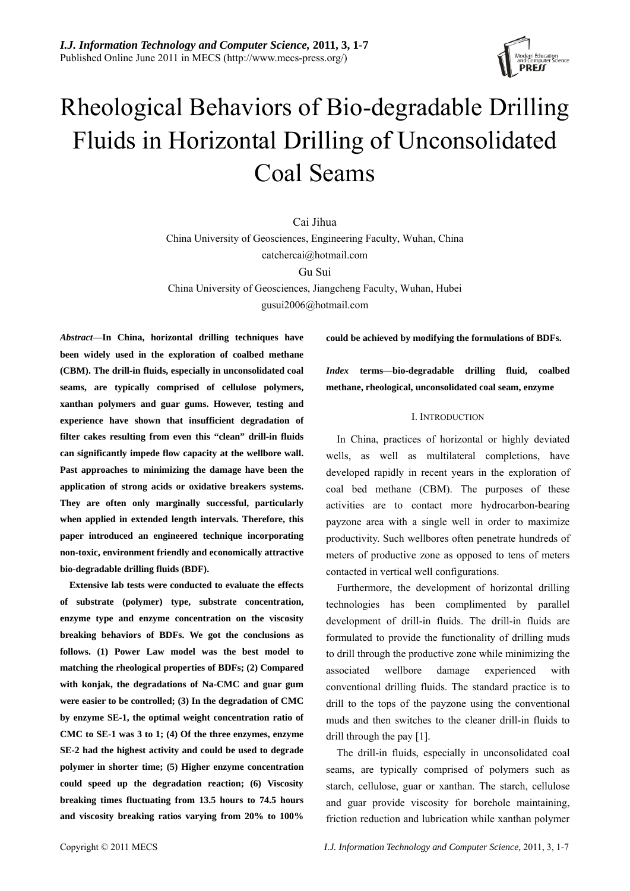

# Rheological Behaviors of Bio-degradable Drilling Fluids in Horizontal Drilling of Unconsolidated Coal Seams

Cai Jihua China University of Geosciences, Engineering Faculty, Wuhan, China catchercai@hotmail.com Gu Sui China University of Geosciences, Jiangcheng Faculty, Wuhan, Hubei gusui2006@hotmail.com

*Abstract*—**In China, horizontal drilling techniques have been widely used in the exploration of coalbed methane (CBM). The drill-in fluids, especially in unconsolidated coal seams, are typically comprised of cellulose polymers, xanthan polymers and guar gums. However, testing and experience have shown that insufficient degradation of filter cakes resulting from even this "clean" drill-in fluids can significantly impede flow capacity at the wellbore wall. Past approaches to minimizing the damage have been the application of strong acids or oxidative breakers systems. They are often only marginally successful, particularly when applied in extended length intervals. Therefore, this paper introduced an engineered technique incorporating non-toxic, environment friendly and economically attractive bio-degradable drilling fluids (BDF).** 

**Extensive lab tests were conducted to evaluate the effects of substrate (polymer) type, substrate concentration, enzyme type and enzyme concentration on the viscosity breaking behaviors of BDFs. We got the conclusions as follows. (1) Power Law model was the best model to matching the rheological properties of BDFs; (2) Compared with konjak, the degradations of Na-CMC and guar gum were easier to be controlled; (3) In the degradation of CMC by enzyme SE-1, the optimal weight concentration ratio of CMC to SE-1 was 3 to 1; (4) Of the three enzymes, enzyme SE-2 had the highest activity and could be used to degrade polymer in shorter time; (5) Higher enzyme concentration could speed up the degradation reaction; (6) Viscosity breaking times fluctuating from 13.5 hours to 74.5 hours and viscosity breaking ratios varying from 20% to 100%** 

**could be achieved by modifying the formulations of BDFs.** 

*Index* **terms**—**bio-degradable drilling fluid, coalbed methane, rheological, unconsolidated coal seam, enzyme** 

# I. INTRODUCTION

In China, practices of horizontal or highly deviated wells, as well as multilateral completions, have developed rapidly in recent years in the exploration of coal bed methane (CBM). The purposes of these activities are to contact more hydrocarbon-bearing payzone area with a single well in order to maximize productivity. Such wellbores often penetrate hundreds of meters of productive zone as opposed to tens of meters contacted in vertical well configurations.

Furthermore, the development of horizontal drilling technologies has been complimented by parallel development of drill-in fluids. The drill-in fluids are formulated to provide the functionality of drilling muds to drill through the productive zone while minimizing the associated wellbore damage experienced with conventional drilling fluids. The standard practice is to drill to the tops of the payzone using the conventional muds and then switches to the cleaner drill-in fluids to drill through the pay [1].

The drill-in fluids, especially in unconsolidated coal seams, are typically comprised of polymers such as starch, cellulose, guar or xanthan. The starch, cellulose and guar provide viscosity for borehole maintaining, friction reduction and lubrication while xanthan polymer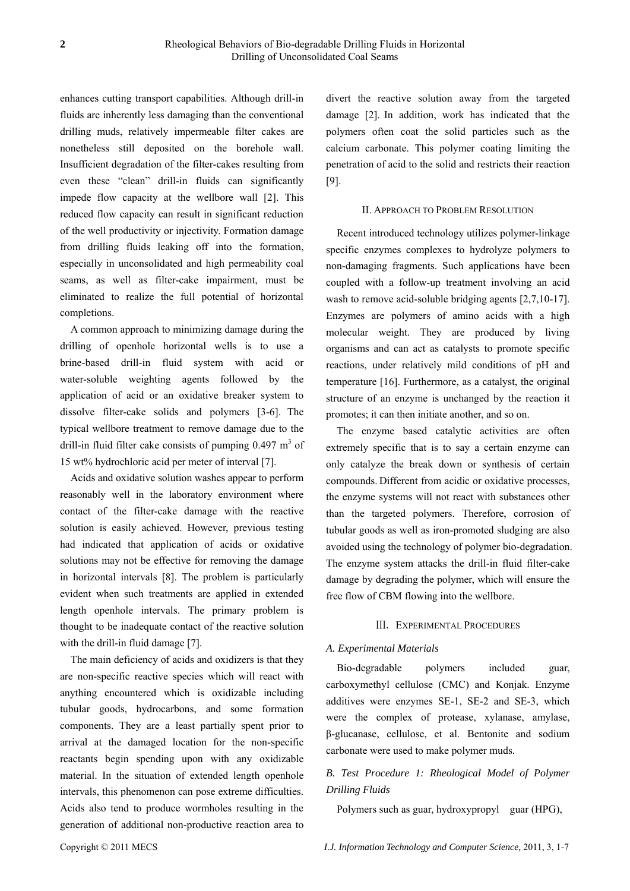enhances cutting transport capabilities. Although drill-in fluids are inherently less damaging than the conventional drilling muds, relatively impermeable filter cakes are nonetheless still deposited on the borehole wall. Insufficient degradation of the filter-cakes resulting from even these "clean" drill-in fluids can significantly impede flow capacity at the wellbore wall [2]. This reduced flow capacity can result in significant reduction of the well productivity or injectivity. Formation damage from drilling fluids leaking off into the formation, especially in unconsolidated and high permeability coal seams, as well as filter-cake impairment, must be eliminated to realize the full potential of horizontal completions.

A common approach to minimizing damage during the drilling of openhole horizontal wells is to use a brine-based drill-in fluid system with acid or water-soluble weighting agents followed by the application of acid or an oxidative breaker system to dissolve filter-cake solids and polymers [3-6]. The typical wellbore treatment to remove damage due to the drill-in fluid filter cake consists of pumping  $0.497 \text{ m}^3$  of 15 wt% hydrochloric acid per meter of interval [7].

Acids and oxidative solution washes appear to perform reasonably well in the laboratory environment where contact of the filter-cake damage with the reactive solution is easily achieved. However, previous testing had indicated that application of acids or oxidative solutions may not be effective for removing the damage in horizontal intervals [8]. The problem is particularly evident when such treatments are applied in extended length openhole intervals. The primary problem is thought to be inadequate contact of the reactive solution with the drill-in fluid damage [7].

The main deficiency of acids and oxidizers is that they are non-specific reactive species which will react with anything encountered which is oxidizable including tubular goods, hydrocarbons, and some formation components. They are a least partially spent prior to arrival at the damaged location for the non-specific reactants begin spending upon with any oxidizable material. In the situation of extended length openhole intervals, this phenomenon can pose extreme difficulties. Acids also tend to produce wormholes resulting in the generation of additional non-productive reaction area to divert the reactive solution away from the targeted damage [2]. In addition, work has indicated that the polymers often coat the solid particles such as the calcium carbonate. This polymer coating limiting the penetration of acid to the solid and restricts their reaction [9].

#### II. APPROACH TO PROBLEM RESOLUTION

Recent introduced technology utilizes polymer-linkage specific enzymes complexes to hydrolyze polymers to non-damaging fragments. Such applications have been coupled with a follow-up treatment involving an acid wash to remove acid-soluble bridging agents [2,7,10-17]. Enzymes are polymers of amino acids with a high molecular weight. They are produced by living organisms and can act as catalysts to promote specific reactions, under relatively mild conditions of pH and temperature [16]. Furthermore, as a catalyst, the original structure of an enzyme is unchanged by the reaction it promotes; it can then initiate another, and so on.

The enzyme based catalytic activities are often extremely specific that is to say a certain enzyme can only catalyze the break down or synthesis of certain compounds. Different from acidic or oxidative processes, the enzyme systems will not react with substances other than the targeted polymers. Therefore, corrosion of tubular goods as well as iron-promoted sludging are also avoided using the technology of polymer bio-degradation. The enzyme system attacks the drill-in fluid filter-cake damage by degrading the polymer, which will ensure the free flow of CBM flowing into the wellbore.

#### Ⅲ. EXPERIMENTAL PROCEDURES

#### *A. Experimental Materials*

Bio-degradable polymers included guar, carboxymethyl cellulose (CMC) and Konjak. Enzyme additives were enzymes SE-1, SE-2 and SE-3, which were the complex of protease, xylanase, amylase, β-glucanase, cellulose, et al. Bentonite and sodium carbonate were used to make polymer muds.

# *B. Test Procedure 1: Rheological Model of Polymer Drilling Fluids*

Polymers such as guar, hydroxypropyl guar (HPG),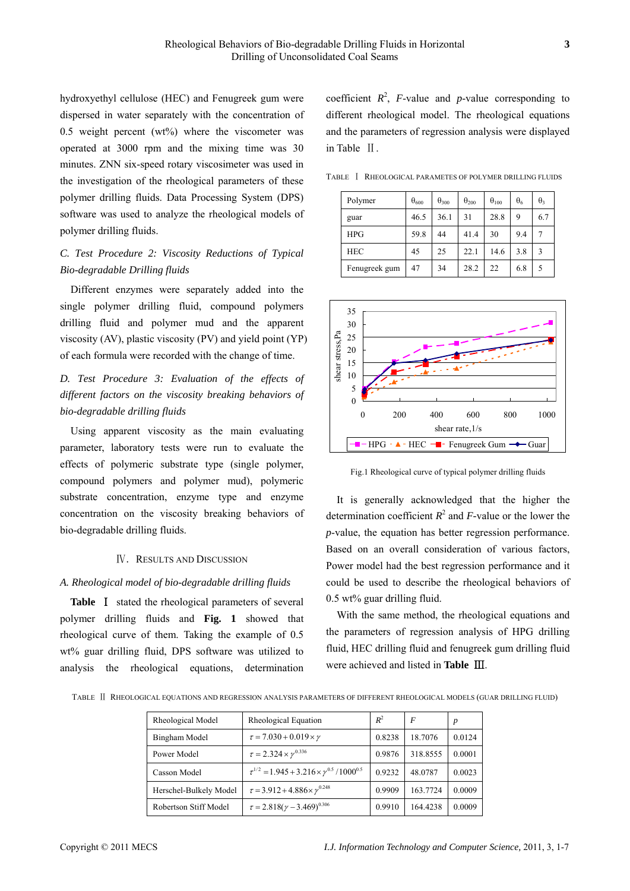hydroxyethyl cellulose (HEC) and Fenugreek gum were dispersed in water separately with the concentration of 0.5 weight percent  $(wt\%)$  where the viscometer was operated at 3000 rpm and the mixing time was 30 minutes. ZNN six-speed rotary viscosimeter was used in the investigation of the rheological parameters of these polymer drilling fluids. Data Processing System (DPS) software was used to analyze the rheological models of polymer drilling fluids.

# *C. Test Procedure 2: Viscosity Reductions of Typical Bio-degradable Drilling fluids*

Different enzymes were separately added into the single polymer drilling fluid, compound polymers drilling fluid and polymer mud and the apparent viscosity (AV), plastic viscosity (PV) and yield point (YP) of each formula were recorded with the change of time.

*D. Test Procedure 3: Evaluation of the effects of different factors on the viscosity breaking behaviors of bio-degradable drilling fluids* 

Using apparent viscosity as the main evaluating parameter, laboratory tests were run to evaluate the effects of polymeric substrate type (single polymer, compound polymers and polymer mud), polymeric substrate concentration, enzyme type and enzyme concentration on the viscosity breaking behaviors of bio-degradable drilling fluids.

#### Ⅳ. RESULTS AND DISCUSSION

#### *A. Rheological model of bio-degradable drilling fluids*

**Table** Ⅰ stated the rheological parameters of several polymer drilling fluids and **Fig. 1** showed that rheological curve of them. Taking the example of 0.5 wt% guar drilling fluid, DPS software was utilized to analysis the rheological equations, determination

coefficient  $R^2$ , *F*-value and *p*-value corresponding to different rheological model. The rheological equations and the parameters of regression analysis were displayed in Table Ⅱ.

TABLE Ⅰ RHEOLOGICAL PARAMETES OF POLYMER DRILLING FLUIDS

| Polymer       | $\theta_{600}$ | $\theta_{300}$ | $\theta_{200}$ | $\theta_{100}$ | $\theta_6$ | $\theta_3$ |
|---------------|----------------|----------------|----------------|----------------|------------|------------|
| guar          | 46.5           | 36.1           | 31             | 28.8           | 9          | 6.7        |
| HPG           | 59.8           | 44             | 41.4           | 30             | 9.4        |            |
| <b>HEC</b>    | 45             | 25             | 22.1           | 14.6           | 3.8        | 3          |
| Fenugreek gum | 47             | 34             | 28.2           | 22             | 6.8        | 5          |



Fig.1 Rheological curve of typical polymer drilling fluids

It is generally acknowledged that the higher the determination coefficient  $R^2$  and *F*-value or the lower the *p*-value, the equation has better regression performance. Based on an overall [consideration](http://dj.iciba.com/consideration/) of various factors, Power model had the best regression performance and it could be used to describe the rheological behaviors of 0.5 wt% guar drilling fluid.

With the same method, the rheological equations and the parameters of regression analysis of HPG drilling fluid, HEC drilling fluid and fenugreek gum drilling fluid were achieved and listed in **Table** Ⅲ.

TABLE Ⅱ RHEOLOGICAL EQUATIONS AND REGRESSION ANALYSIS PARAMETERS OF DIFFERENT RHEOLOGICAL MODELS (GUAR DRILLING FLUID)

| Rheological Model      | Rheological Equation                                               | $R^2$  | F        | $\boldsymbol{p}$ |
|------------------------|--------------------------------------------------------------------|--------|----------|------------------|
| Bingham Model          | $\tau = 7.030 + 0.019 \times \gamma$                               | 0.8238 | 18.7076  | 0.0124           |
| Power Model            | $\tau = 2.324 \times \gamma^{0.336}$                               | 0.9876 | 318.8555 | 0.0001           |
| Casson Model           | $\tau^{1/2}$ = 1.945 + 3.216 × $\gamma^{0.5}$ /1000 <sup>0.5</sup> | 0.9232 | 48.0787  | 0.0023           |
| Herschel-Bulkely Model | $\tau = 3.912 + 4.886 \times \gamma^{0.248}$                       | 0.9909 | 163.7724 | 0.0009           |
| Robertson Stiff Model  | $\tau = 2.818(\gamma - 3.469)^{0.306}$                             | 0.9910 | 164.4238 | 0.0009           |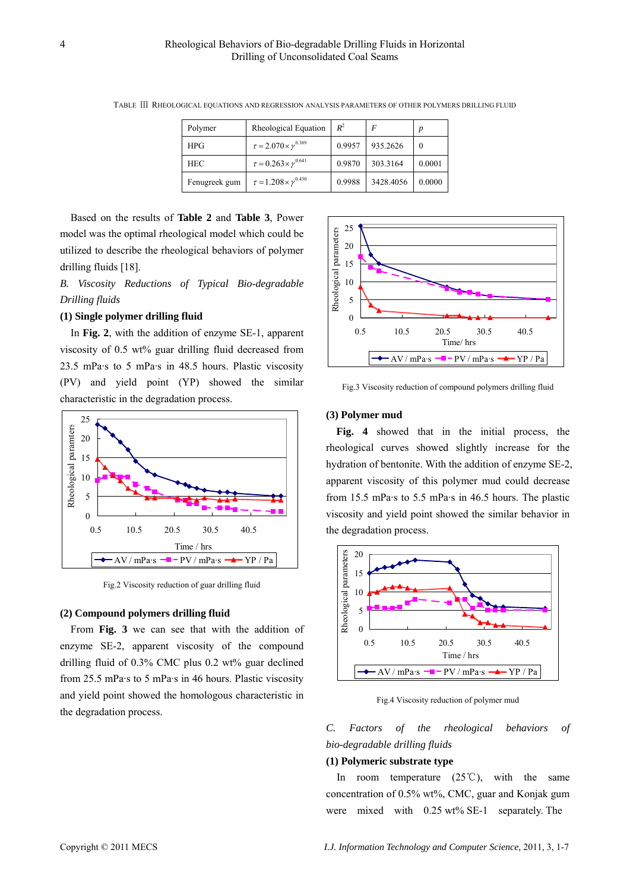| Polymer       | Rheological Equation                 | $R^2$  | F         | D      |
|---------------|--------------------------------------|--------|-----------|--------|
| HPG           | $\tau = 2.070 \times \gamma^{0.389}$ | 0.9957 | 935.2626  | 0      |
| <b>HEC</b>    | $\tau = 0.263 \times \gamma^{0.641}$ | 0.9870 | 303.3164  | 0.0001 |
| Fenugreek gum | $\tau = 1.208 \times \gamma^{0.430}$ | 0.9988 | 3428.4056 | 0.0000 |

TABLE Ⅲ RHEOLOGICAL EQUATIONS AND REGRESSION ANALYSIS PARAMETERS OF OTHER POLYMERS DRILLING FLUID

Based on the results of **Table 2** and **Table 3**, Power model was the optimal rheological model which could be utilized to describe the rheological behaviors of polymer drilling fluids [18].

*B. Viscosity Reductions of Typical Bio-degradable Drilling fluids* 

# **(1) Single polymer drilling fluid**

In **Fig. 2**, with the addition of enzyme SE-1, apparent viscosity of 0.5 wt% guar drilling fluid decreased from 23.5 mPa·s to 5 mPa·s in 48.5 hours. Plastic viscosity (PV) and yield point (YP) showed the similar characteristic in the degradation process.



Fig.2 Viscosity reduction of guar drilling fluid

#### **(2) Compound polymers drilling fluid**

From **Fig. 3** we can see that with the addition of enzyme SE-2, apparent viscosity of the compound drilling fluid of 0.3% CMC plus 0.2 wt% guar declined from 25.5 mPa·s to 5 mPa·s in 46 hours. Plastic viscosity and yield point showed the homologous characteristic in the degradation process.



Fig.3 Viscosity reduction of compound polymers drilling fluid

#### **(3) Polymer mud**

**Fig. 4** showed that in the initial process, the rheological curves showed slightly increase for the hydration of bentonite. With the addition of enzyme SE-2, apparent viscosity of this polymer mud could decrease from 15.5 mPa·s to 5.5 mPa·s in 46.5 hours. The plastic viscosity and yield point showed the similar behavior in the degradation process.



Fig.4 Viscosity reduction of polymer mud

*C. Factors of the rheological behaviors of bio-degradable drilling fluids* 

# **(1) Polymeric substrate type**

In room temperature  $(25^{\circ}\text{C})$ , with the same concentration of 0.5% wt%, CMC, guar and Konjak gum were mixed with 0.25 wt% SE-1 separately. The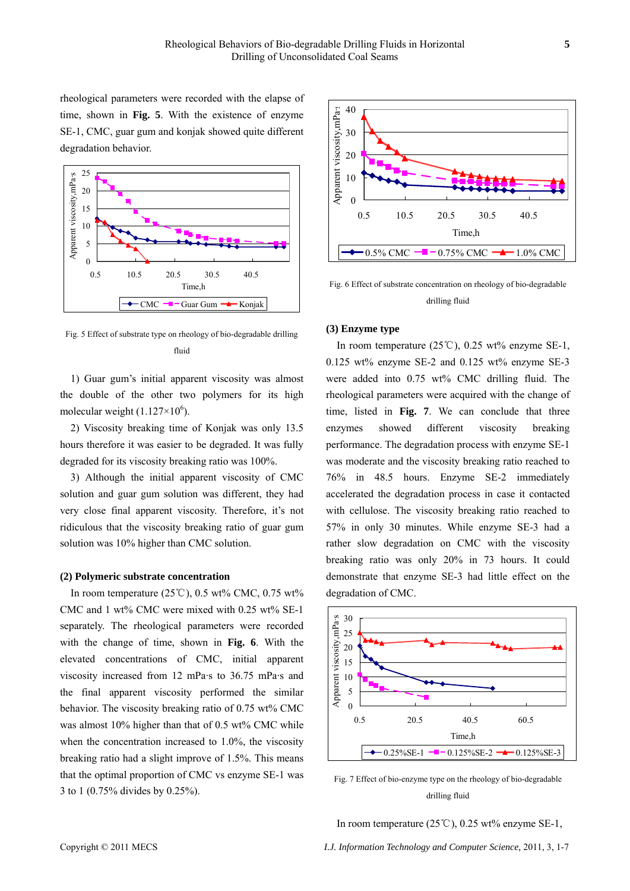rheological parameters were recorded with the elapse of time, shown in **Fig. 5**. With the existence of enzyme SE-1, CMC, guar gum and konjak showed quite different degradation behavior.



Fig. 5 Effect of substrate type on rheology of bio-degradable drilling fluid

1) Guar gum's initial apparent viscosity was almost the double of the other two polymers for its high molecular weight  $(1.127\times10^6)$ .

2) Viscosity breaking time of Konjak was only 13.5 hours therefore it was easier to be degraded. It was fully degraded for its viscosity breaking ratio was 100%.

3) Although the initial apparent viscosity of CMC solution and guar gum solution was different, they had very close final apparent viscosity. Therefore, it's not ridiculous that the viscosity breaking ratio of guar gum solution was 10% higher than CMC solution.

## **(2) Polymeric substrate concentration**

In room temperature ( $25^{\circ}$ C), 0.5 wt% CMC, 0.75 wt% CMC and 1 wt% CMC were mixed with 0.25 wt% SE-1 separately. The rheological parameters were recorded with the change of time, shown in **Fig. 6**. With the elevated concentrations of CMC, initial apparent viscosity increased from 12 mPa·s to 36.75 mPa·s and the final apparent viscosity performed the similar behavior. The viscosity breaking ratio of 0.75 wt% CMC was almost 10% higher than that of 0.5 wt% CMC while when the concentration increased to 1.0%, the viscosity breaking ratio had a slight improve of 1.5%. This means that the optimal proportion of CMC vs enzyme SE-1 was 3 to 1 (0.75% divides by 0.25%).



Fig. 6 Effect of substrate concentration on rheology of bio-degradable drilling fluid

#### **(3) Enzyme type**

In room temperature (25℃), 0.25 wt% enzyme SE-1, 0.125 wt% enzyme SE-2 and 0.125 wt% enzyme SE-3 were added into 0.75 wt% CMC drilling fluid. The rheological parameters were acquired with the change of time, listed in **Fig. 7**. We can conclude that three enzymes showed different viscosity breaking performance. The degradation process with enzyme SE-1 was moderate and the viscosity breaking ratio reached to 76% in 48.5 hours. Enzyme SE-2 immediately accelerated the degradation process in case it contacted with cellulose. The viscosity breaking ratio reached to 57% in only 30 minutes. While enzyme SE-3 had a rather slow degradation on CMC with the viscosity breaking ratio was only 20% in 73 hours. It could demonstrate that enzyme SE-3 had little effect on the degradation of CMC.



Fig. 7 Effect of bio-enzyme type on the rheology of bio-degradable drilling fluid

In room temperature (25℃), 0.25 wt% enzyme SE-1,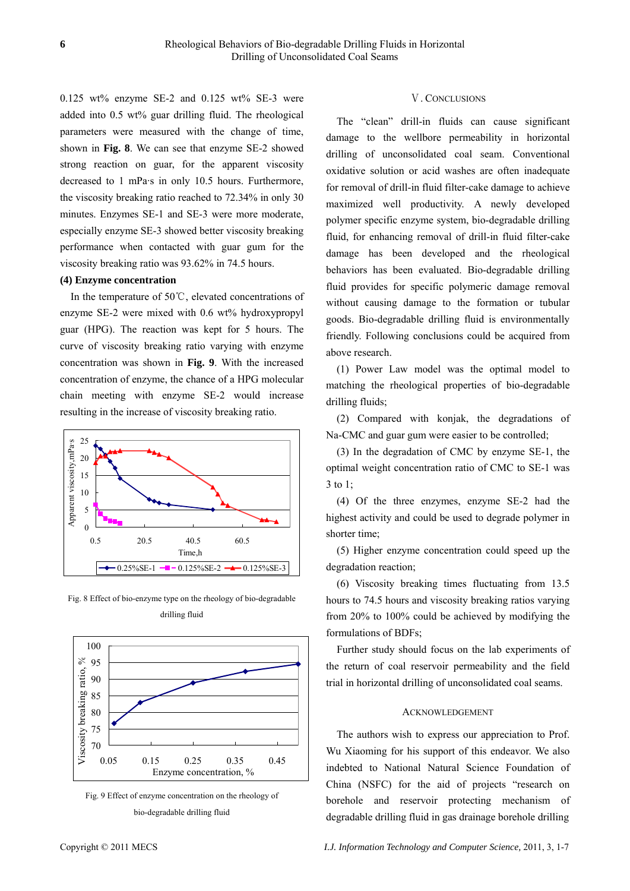0.125 wt% enzyme SE-2 and 0.125 wt% SE-3 were added into 0.5 wt% guar drilling fluid. The rheological parameters were measured with the change of time, shown in **Fig. 8**. We can see that enzyme SE-2 showed strong reaction on guar, for the apparent viscosity decreased to 1 mPa·s in only 10.5 hours. Furthermore, the viscosity breaking ratio reached to 72.34% in only 30 minutes. Enzymes SE-1 and SE-3 were more moderate, especially enzyme SE-3 showed better viscosity breaking performance when contacted with guar gum for the viscosity breaking ratio was 93.62% in 74.5 hours.

# **(4) Enzyme concentration**

In the temperature of 50℃, elevated concentrations of enzyme SE-2 were mixed with 0.6 wt% hydroxypropyl guar (HPG). The reaction was kept for 5 hours. The curve of viscosity breaking ratio varying with enzyme concentration was shown in **Fig. 9**. With the increased concentration of enzyme, the chance of a HPG molecular chain meeting with enzyme SE-2 would increase resulting in the increase of viscosity breaking ratio.



Fig. 8 Effect of bio-enzyme type on the rheology of bio-degradable drilling fluid





# Ⅴ. CONCLUSIONS

The "clean" drill-in fluids can cause significant damage to the wellbore permeability in horizontal drilling of unconsolidated coal seam. Conventional oxidative solution or acid washes are often inadequate for removal of drill-in fluid filter-cake damage to achieve maximized well productivity. A newly developed polymer specific enzyme system, bio-degradable drilling fluid, for enhancing removal of drill-in fluid filter-cake damage has been developed and the rheological behaviors has been evaluated. Bio-degradable drilling fluid provides for specific polymeric damage removal without causing damage to the formation or tubular goods. Bio-degradable drilling fluid is environmentally friendly. Following conclusions could be acquired from above research.

(1) Power Law model was the optimal model to matching the rheological properties of bio-degradable drilling fluids;

(2) Compared with konjak, the degradations of Na-CMC and guar gum were easier to be controlled;

(3) In the degradation of CMC by enzyme SE-1, the optimal weight concentration ratio of CMC to SE-1 was 3 to 1;

(4) Of the three enzymes, enzyme SE-2 had the highest activity and could be used to degrade polymer in shorter time;

(5) Higher enzyme concentration could speed up the degradation reaction;

(6) Viscosity breaking times fluctuating from 13.5 hours to 74.5 hours and viscosity breaking ratios varying from 20% to 100% could be achieved by modifying the formulations of BDFs;

Further study should focus on the lab experiments of the return of coal reservoir permeability and the field trial in horizontal drilling of unconsolidated coal seams.

#### ACKNOWLEDGEMENT

The authors wish to express our appreciation to Prof. Wu Xiaoming for his support of this endeavor. We also indebted to National Natural Science Foundation of China (NSFC) for the aid of projects "research on borehole and reservoir protecting mechanism of degradable drilling fluid in gas drainage borehole drilling